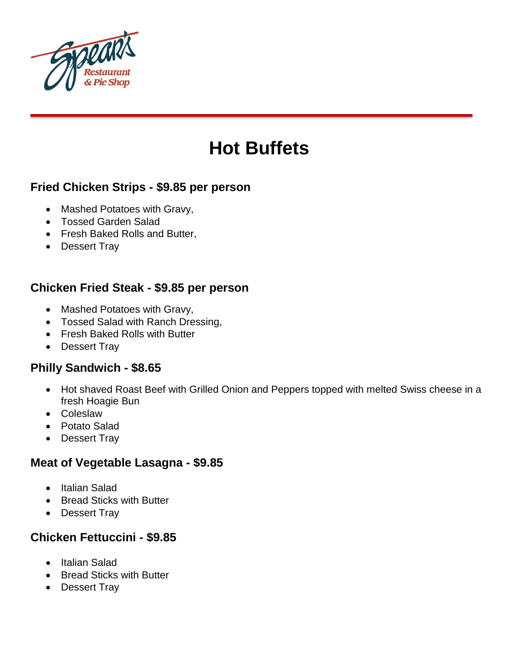

# **Hot Buffets**

## **Fried Chicken Strips - \$9.85 per person**

- Mashed Potatoes with Gravy,
- Tossed Garden Salad
- Fresh Baked Rolls and Butter,
- Dessert Tray

## **Chicken Fried Steak - \$9.85 per person**

- Mashed Potatoes with Gravy,
- Tossed Salad with Ranch Dressing,
- Fresh Baked Rolls with Butter
- Dessert Trav

## **Philly Sandwich - \$8.65**

- Hot shaved Roast Beef with Grilled Onion and Peppers topped with melted Swiss cheese in a fresh Hoagie Bun
- Coleslaw
- Potato Salad
- Dessert Tray

#### **Meat of Vegetable Lasagna - \$9.85**

- Italian Salad
- Bread Sticks with Butter
- Dessert Tray

## **Chicken Fettuccini - \$9.85**

- Italian Salad
- Bread Sticks with Butter
- Dessert Tray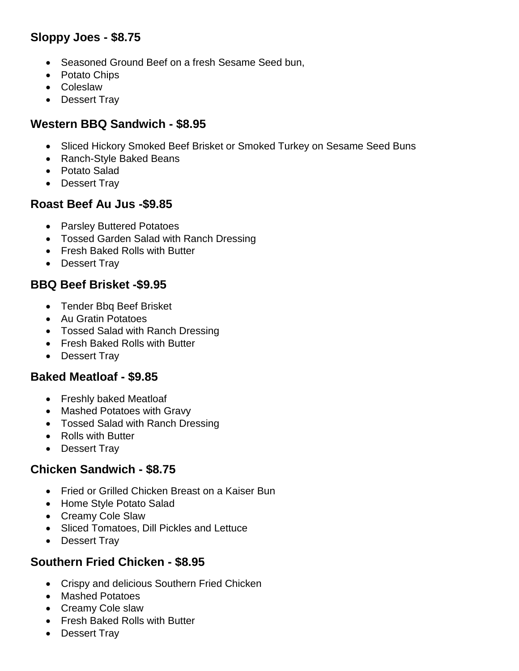# **Sloppy Joes - \$8.75**

- Seasoned Ground Beef on a fresh Sesame Seed bun,
- Potato Chips
- Coleslaw
- Dessert Tray

## **Western BBQ Sandwich - \$8.95**

- Sliced Hickory Smoked Beef Brisket or Smoked Turkey on Sesame Seed Buns
- Ranch-Style Baked Beans
- Potato Salad
- Dessert Trav

## **Roast Beef Au Jus -\$9.85**

- Parsley Buttered Potatoes
- Tossed Garden Salad with Ranch Dressing
- Fresh Baked Rolls with Butter
- Dessert Trav

# **BBQ Beef Brisket -\$9.95**

- Tender Bbq Beef Brisket
- Au Gratin Potatoes
- Tossed Salad with Ranch Dressing
- Fresh Baked Rolls with Butter
- Dessert Tray

#### **Baked Meatloaf - \$9.85**

- Freshly baked Meatloaf
- Mashed Potatoes with Gravy
- Tossed Salad with Ranch Dressing
- Rolls with Butter
- Dessert Tray

## **Chicken Sandwich - \$8.75**

- Fried or Grilled Chicken Breast on a Kaiser Bun
- Home Style Potato Salad
- Creamy Cole Slaw
- Sliced Tomatoes, Dill Pickles and Lettuce
- Dessert Tray

#### **Southern Fried Chicken - \$8.95**

- Crispy and delicious Southern Fried Chicken
- Mashed Potatoes
- Creamy Cole slaw
- Fresh Baked Rolls with Butter
- Dessert Tray